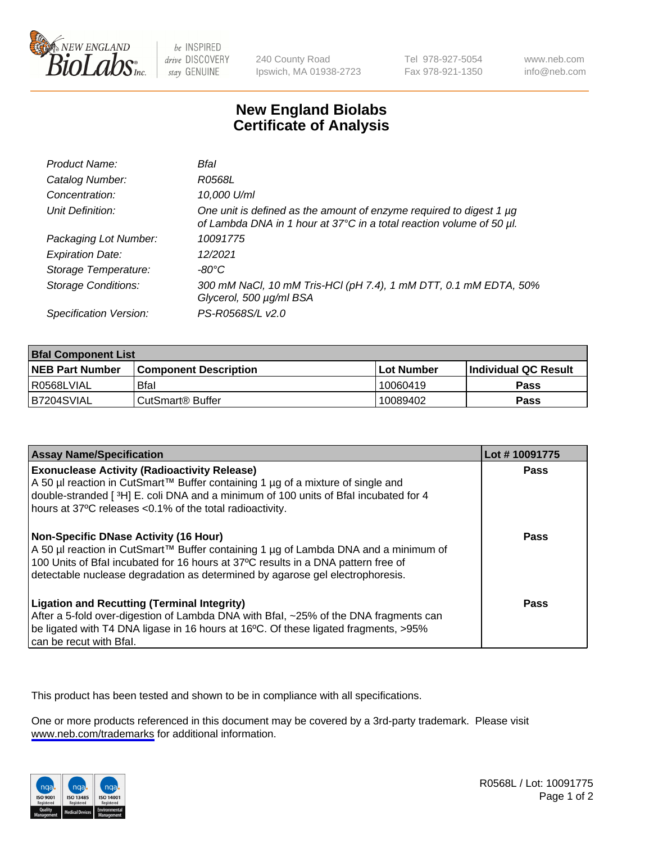

be INSPIRED drive DISCOVERY stay GENUINE

240 County Road Ipswich, MA 01938-2723 Tel 978-927-5054 Fax 978-921-1350

www.neb.com info@neb.com

## **New England Biolabs Certificate of Analysis**

| Product Name:              | Bfal                                                                                                                                             |
|----------------------------|--------------------------------------------------------------------------------------------------------------------------------------------------|
| Catalog Number:            | R0568L                                                                                                                                           |
| Concentration:             | 10,000 U/ml                                                                                                                                      |
| Unit Definition:           | One unit is defined as the amount of enzyme required to digest 1 $\mu$ g<br>of Lambda DNA in 1 hour at 37°C in a total reaction volume of 50 µl. |
| Packaging Lot Number:      | 10091775                                                                                                                                         |
| <b>Expiration Date:</b>    | 12/2021                                                                                                                                          |
| Storage Temperature:       | $-80^{\circ}$ C                                                                                                                                  |
| <b>Storage Conditions:</b> | 300 mM NaCl, 10 mM Tris-HCl (pH 7.4), 1 mM DTT, 0.1 mM EDTA, 50%<br>Glycerol, 500 µg/ml BSA                                                      |
| Specification Version:     | PS-R0568S/L v2.0                                                                                                                                 |

| <b>Bfal Component List</b> |                              |              |                             |  |
|----------------------------|------------------------------|--------------|-----------------------------|--|
| <b>NEB Part Number</b>     | <b>Component Description</b> | l Lot Number | <b>Individual QC Result</b> |  |
| R0568LVIAL                 | Bfal                         | 10060419     | Pass                        |  |
| B7204SVIAL                 | CutSmart <sup>®</sup> Buffer | 10089402     | Pass                        |  |

| <b>Assay Name/Specification</b>                                                                                                                                                                                                                                                                    | Lot #10091775 |
|----------------------------------------------------------------------------------------------------------------------------------------------------------------------------------------------------------------------------------------------------------------------------------------------------|---------------|
| <b>Exonuclease Activity (Radioactivity Release)</b><br>A 50 µl reaction in CutSmart™ Buffer containing 1 µg of a mixture of single and<br>double-stranded [3H] E. coli DNA and a minimum of 100 units of Bfal incubated for 4<br>hours at 37°C releases <0.1% of the total radioactivity.          | Pass          |
| Non-Specific DNase Activity (16 Hour)<br>A 50 µl reaction in CutSmart™ Buffer containing 1 µg of Lambda DNA and a minimum of<br>100 Units of Bfal incubated for 16 hours at 37°C results in a DNA pattern free of<br>detectable nuclease degradation as determined by agarose gel electrophoresis. | <b>Pass</b>   |
| <b>Ligation and Recutting (Terminal Integrity)</b><br>After a 5-fold over-digestion of Lambda DNA with Bfal, ~25% of the DNA fragments can<br>be ligated with T4 DNA ligase in 16 hours at 16°C. Of these ligated fragments, >95%<br>can be recut with Bfal.                                       | Pass          |

This product has been tested and shown to be in compliance with all specifications.

One or more products referenced in this document may be covered by a 3rd-party trademark. Please visit <www.neb.com/trademarks>for additional information.